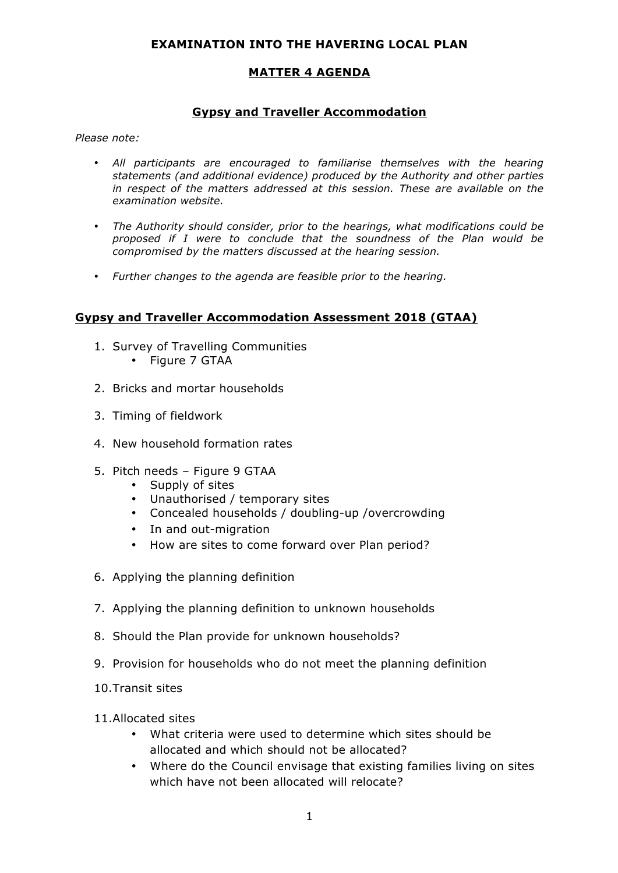### **EXAMINATION INTO THE HAVERING LOCAL PLAN**

## **MATTER 4 AGENDA**

### **Gypsy and Traveller Accommodation**

*Please note:* 

- *All participants are encouraged to familiarise themselves with the hearing statements (and additional evidence) produced by the Authority and other parties in respect of the matters addressed at this session. These are available on the examination website.*
- *The Authority should consider, prior to the hearings, what modifications could be proposed if I were to conclude that the soundness of the Plan would be compromised by the matters discussed at the hearing session.*
- *Further changes to the agenda are feasible prior to the hearing.*

#### **Gypsy and Traveller Accommodation Assessment 2018 (GTAA)**

- 1. Survey of Travelling Communities • Figure 7 GTAA
- 2. Bricks and mortar households
- 3. Timing of fieldwork
- 4. New household formation rates
- 5. Pitch needs Figure 9 GTAA
	- Supply of sites
	- Unauthorised / temporary sites
	- Concealed households / doubling-up /overcrowding
	- In and out-migration
	- How are sites to come forward over Plan period?
- 6. Applying the planning definition
- 7. Applying the planning definition to unknown households
- 8. Should the Plan provide for unknown households?
- 9. Provision for households who do not meet the planning definition
- 10.Transit sites
- 11.Allocated sites
	- • What criteria were used to determine which sites should be allocated and which should not be allocated?
	- • Where do the Council envisage that existing families living on sites which have not been allocated will relocate?